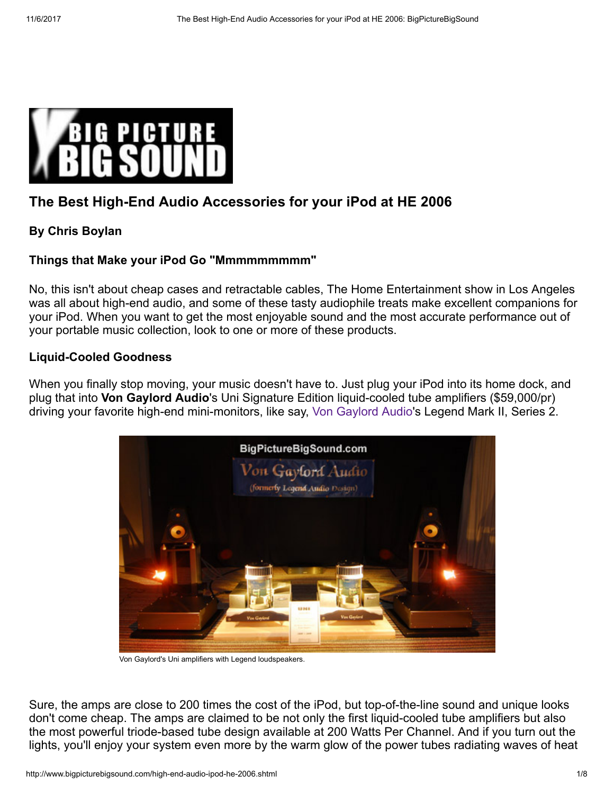

# The Best High-End Audio Accessories for your iPod at HE 2006

## By Chris Boylan

## Things that Make your iPod Go "Mmmmmmmmm"

No, this isn't about cheap cases and retractable cables, The Home Entertainment show in Los Angeles was all about high-end audio, and some of these tasty audiophile treats make excellent companions for your iPod. When you want to get the most enjoyable sound and the most accurate performance out of your portable music collection, look to one or more of these products.

### Liquid-Cooled Goodness

When you finally stop moving, your music doesn't have to. Just plug your iPod into its home dock, and plug that into Von Gaylord Audio's Uni Signature Edition liquid-cooled tube amplifiers (\$59,000/pr) driving your favorite high-end mini-monitors, like say, [Von Gaylord Audio](http://www.vongaylordaudio.com/)'s Legend Mark II, Series 2.



Von Gaylord's Uni amplifiers with Legend loudspeakers.

Sure, the amps are close to 200 times the cost of the iPod, but top-of-the-line sound and unique looks don't come cheap. The amps are claimed to be not only the first liquid-cooled tube amplifiers but also the most powerful triode-based tube design available at 200 Watts Per Channel. And if you turn out the lights, you'll enjoy your system even more by the warm glow of the power tubes radiating waves of heat